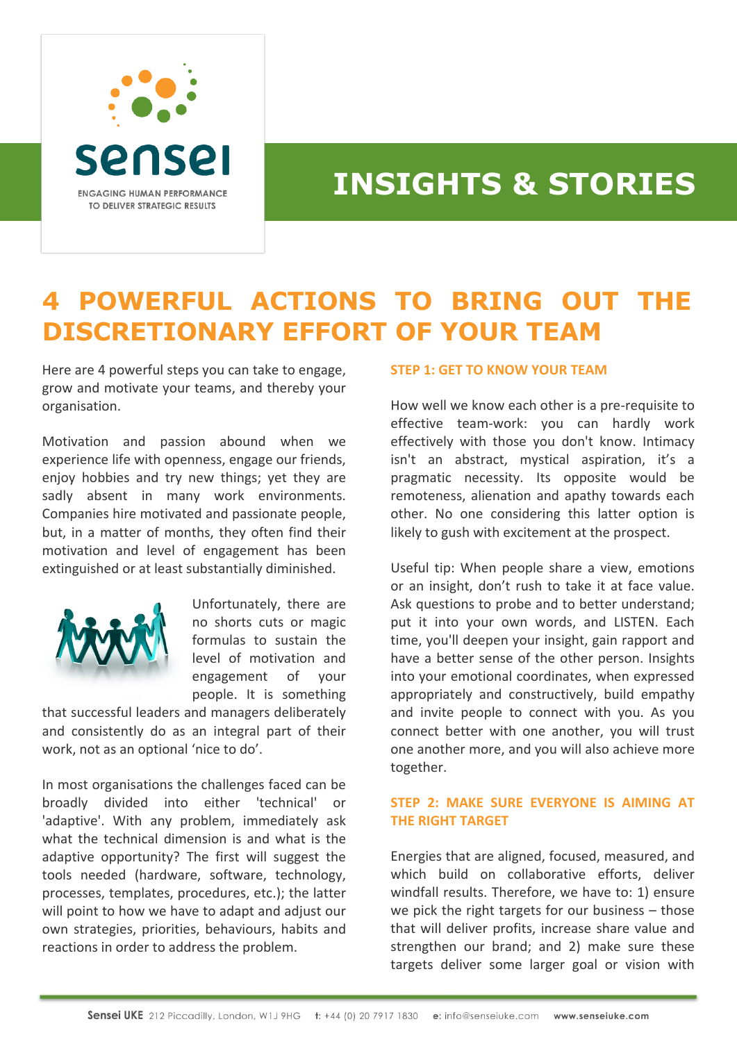

# **INSIGHTS & STORIES**

# **4 POWERFUL ACTIONS TO BRING OUT THE DISCRETIONARY EFFORT OF YOUR TEAM**

Here are 4 powerful steps you can take to engage, grow and motivate your teams, and thereby your organisation.

Motivation and passion abound when we experience life with openness, engage our friends, enjoy hobbies and try new things; yet they are sadly absent in many work environments. Companies hire motivated and passionate people, but, in a matter of months, they often find their motivation and level of engagement has been extinguished or at least substantially diminished.



Unfortunately, there are no shorts cuts or magic formulas to sustain the level of motivation and engagement of your people. It is something

that successful leaders and managers deliberately and consistently do as an integral part of their work, not as an optional 'nice to do'.

In most organisations the challenges faced can be broadly divided into either 'technical' or 'adaptive'. With any problem, immediately ask what the technical dimension is and what is the adaptive opportunity? The first will suggest the tools needed (hardware, software, technology, processes, templates, procedures, etc.); the latter will point to how we have to adapt and adjust our own strategies, priorities, behaviours, habits and reactions in order to address the problem.

#### **STEP 1: GET TO KNOW YOUR TEAM**

How well we know each other is a pre-requisite to effective team-work: you can hardly work effectively with those you don't know. Intimacy isn't an abstract, mystical aspiration, it's a pragmatic necessity. Its opposite would be remoteness, alienation and apathy towards each other. No one considering this latter option is likely to gush with excitement at the prospect.

Useful tip: When people share a view, emotions or an insight, don't rush to take it at face value. Ask questions to probe and to better understand; put it into your own words, and LISTEN. Each time, you'll deepen your insight, gain rapport and have a better sense of the other person. Insights into your emotional coordinates, when expressed appropriately and constructively, build empathy and invite people to connect with you. As you connect better with one another, you will trust one another more, and you will also achieve more together.

# **STEP 2: MAKE SURE EVERYONE IS AIMING AT THE RIGHT TARGET**

Energies that are aligned, focused, measured, and which build on collaborative efforts, deliver windfall results. Therefore, we have to: 1) ensure we pick the right targets for our business – those that will deliver profits, increase share value and strengthen our brand; and 2) make sure these targets deliver some larger goal or vision with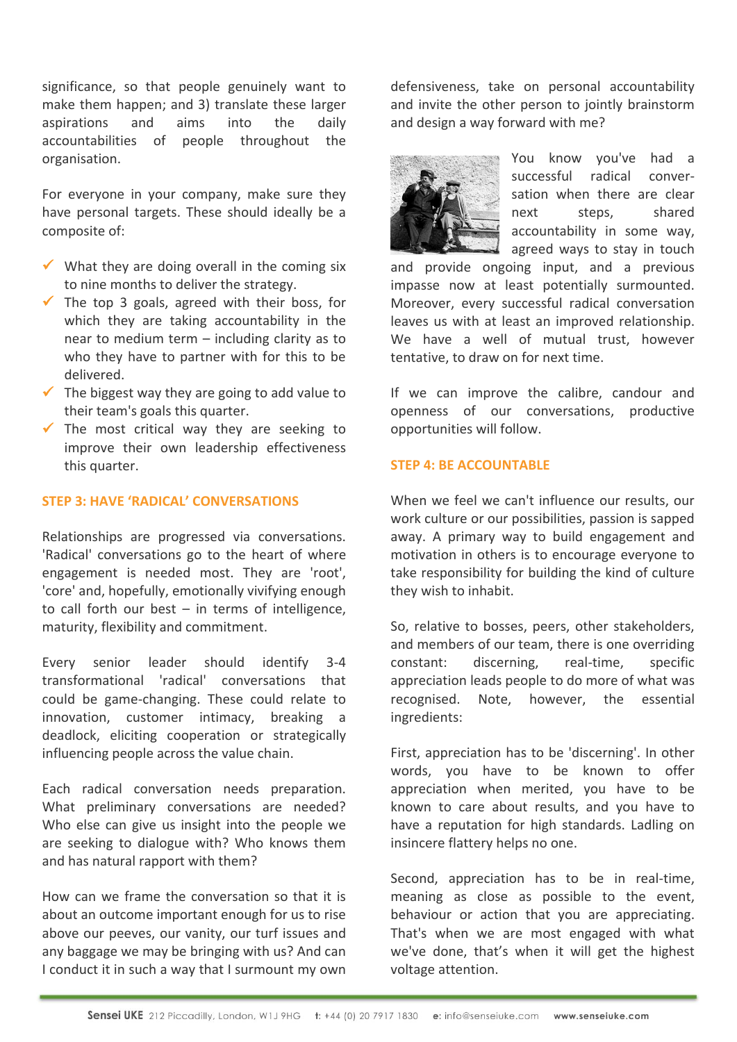significance, so that people genuinely want to make them happen; and 3) translate these larger aspirations and aims into the daily accountabilities of people throughout the organisation.

For everyone in your company, make sure they have personal targets. These should ideally be a composite of:

- $\checkmark$  What they are doing overall in the coming six to nine months to deliver the strategy.
- $\checkmark$  The top 3 goals, agreed with their boss, for which they are taking accountability in the near to medium term – including clarity as to who they have to partner with for this to be delivered.
- $\checkmark$  The biggest way they are going to add value to their team's goals this quarter.
- $\checkmark$  The most critical way they are seeking to improve their own leadership effectiveness this quarter.

### **STEP 3: HAVE 'RADICAL' CONVERSATIONS**

Relationships are progressed via conversations. 'Radical' conversations go to the heart of where engagement is needed most. They are 'root', 'core' and, hopefully, emotionally vivifying enough to call forth our best  $-$  in terms of intelligence, maturity, flexibility and commitment.

Every senior leader should identify 3-4 transformational 'radical' conversations that could be game-changing. These could relate to innovation, customer intimacy, breaking a deadlock, eliciting cooperation or strategically influencing people across the value chain.

Each radical conversation needs preparation. What preliminary conversations are needed? Who else can give us insight into the people we are seeking to dialogue with? Who knows them and has natural rapport with them?

How can we frame the conversation so that it is about an outcome important enough for us to rise above our peeves, our vanity, our turf issues and any baggage we may be bringing with us? And can I conduct it in such a way that I surmount my own

defensiveness, take on personal accountability and invite the other person to jointly brainstorm and design a way forward with me?



You know you've had a successful radical conversation when there are clear next steps, shared accountability in some way, agreed ways to stay in touch

and provide ongoing input, and a previous impasse now at least potentially surmounted. Moreover, every successful radical conversation leaves us with at least an improved relationship. We have a well of mutual trust, however tentative, to draw on for next time.

If we can improve the calibre, candour and openness of our conversations, productive opportunities will follow.

### **STEP 4: BE ACCOUNTABLE**

When we feel we can't influence our results, our work culture or our possibilities, passion is sapped away. A primary way to build engagement and motivation in others is to encourage everyone to take responsibility for building the kind of culture they wish to inhabit.

So, relative to bosses, peers, other stakeholders, and members of our team, there is one overriding constant: discerning, real-time, specific appreciation leads people to do more of what was recognised. Note, however, the essential ingredients:

First, appreciation has to be 'discerning'. In other words, you have to be known to offer appreciation when merited, you have to be known to care about results, and you have to have a reputation for high standards. Ladling on insincere flattery helps no one.

Second, appreciation has to be in real-time, meaning as close as possible to the event, behaviour or action that you are appreciating. That's when we are most engaged with what we've done, that's when it will get the highest voltage attention.